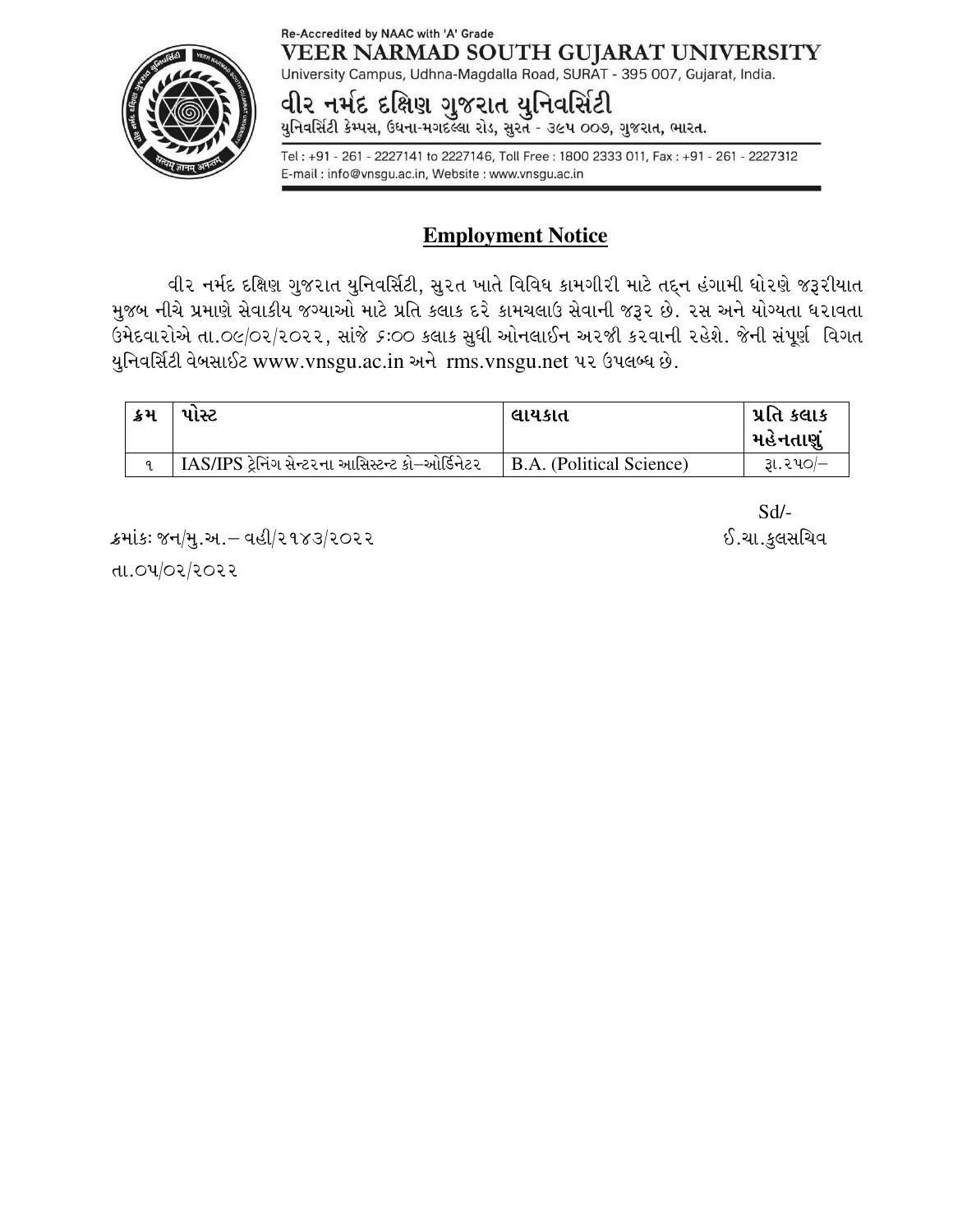#### Re-Accredited by NAAC with 'A' Grade VEER NARMAD SOUTH GUJARAT UNIVERSITY



University Campus, Udhna-Magdalla Road, SURAT - 395 007, Gujarat, India.

# વીર નમંદ દક્ષિણ ગુજરાત યુનિવસિંટી

યુનિવર્સિટી કેમ્પસ, ઉધના-મગદલ્લા રોડ, સુરત - ૩૯૫ ૦૦૭, ગુજરાત, ભારત.

Tel: +91 - 261 - 2227141 to 2227146, Toll Free: 1800 2333 011, Fax: +91 - 261 - 2227312 E-mail: info@vnsgu.ac.in, Website: www.vnsgu.ac.in

## **Employment Notice**

વીર નર્મદ દક્ષિણ ગુજરાત યુનિવર્સિટી, સુરત ખાતે વિવિધ કામગીરી માટે તદ્દન હંગામી ધોરણે જરૂરીયાત મુજબ નીચે પ્રમાણે સેવાકીય જગ્યાઓ માટે પ્રતિ કલાક દરે કામચલાઉ સેવાની જરૂર છે. ૨સ અને યોગ્યતા ધરાવતા pD[NJFZMV[ TFP\_)q\_ZqZ\_ZZ4 ;F\H[ &o\_\_ S,FS ;]WL VMG,F.G VZHL SZJFGL ZC[X[P H[GL ;\5}6" lJUT યુનિવર્સિટી વેબસાઈટ www.vnsgu.ac.in અને rms.vnsgu.net પર ઉપલબ્ધ છે.

| ક્રમ | પાંસ્ટ                                           | લાયકાત                   | પ્રતિ કલાક<br>મહેનતાણું |
|------|--------------------------------------------------|--------------------------|-------------------------|
|      | IAS/IPS ટ્રેનિંગ સેન્ટરના આસિસ્ટન્ટ કો–ઓર્ડિનેટર | B.A. (Political Science) | રૂા.૨૫૦/–               |

ક્રમાંકઃ જન/મુ.અ.– વહી/૨૧૪૩/૨૦૨૨ . કર્મા મહત્વનું માટે . સા.કુલસચિવ

તા.0૫/0૨/૨૦૨૨

Sd/-